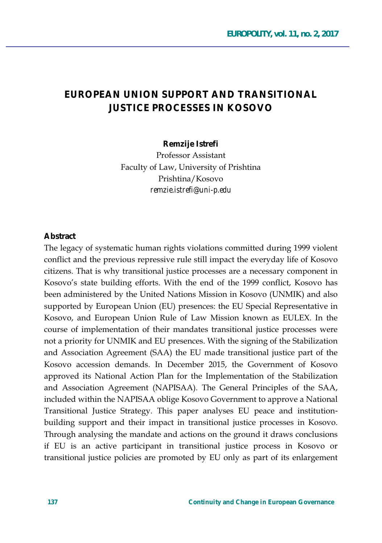### EUROPEAN UNION SUPPORT AND TRANSITIONAL **ILISTICE PROCESSES IN KOSOVO**

Remzije Istrefi

**Professor Assistant** Faculty of Law, University of Prishtina Prishtina/Kosovo remzie.istrefi@uni-p.edu

#### **Abstract**

The legacy of systematic human rights violations committed during 1999 violent conflict and the previous repressive rule still impact the everyday life of Kosovo citizens. That is why transitional justice processes are a necessary component in Kosovo's state building efforts. With the end of the 1999 conflict, Kosovo has been administered by the United Nations Mission in Kosovo (UNMIK) and also supported by European Union (EU) presences: the EU Special Representative in Kosovo, and European Union Rule of Law Mission known as EULEX. In the course of implementation of their mandates transitional justice processes were not a priority for UNMIK and EU presences. With the signing of the Stabilization and Association Agreement (SAA) the EU made transitional justice part of the Kosovo accession demands. In December 2015, the Government of Kosovo approved its National Action Plan for the Implementation of the Stabilization and Association Agreement (NAPISAA). The General Principles of the SAA, included within the NAPISAA oblige Kosovo Government to approve a National Transitional Justice Strategy. This paper analyses EU peace and institutionbuilding support and their impact in transitional justice processes in Kosovo. Through analysing the mandate and actions on the ground it draws conclusions if EU is an active participant in transitional justice process in Kosovo or transitional justice policies are promoted by EU only as part of its enlargement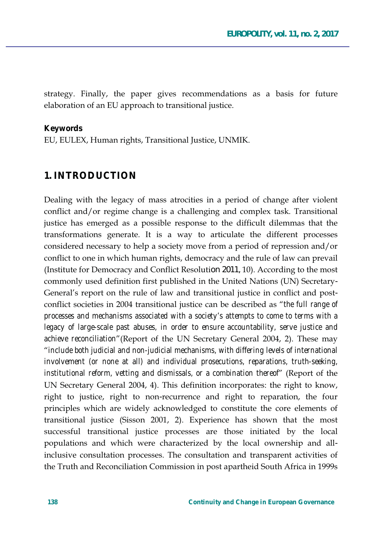strategy. Finally, the paper gives recommendations as a basis for future elaboration of an EU approach to transitional justice.

#### **Keywords**

EU, EULEX, Human rights, Transitional Justice, UNMIK.

#### **1. INTRODUCTION**

Dealing with the legacy of mass atrocities in a period of change after violent conflict and/or regime change is a challenging and complex task. Transitional justice has emerged as a possible response to the difficult dilemmas that the transformations generate. It is a way to articulate the different processes considered necessary to help a society move from a period of repression and/or conflict to one in which human rights, democracy and the rule of law can prevail (Institute for Democracy and Conflict Resolution 2011, 10). According to the most commonly used definition first published in the United Nations (UN) Secretary-General's report on the rule of law and transitional justice in conflict and postconflict societies in 2004 transitional justice can be described as "the full range of processes and mechanisms associated with a society's attempts to come to terms with a legacy of large-scale past abuses, in order to ensure accountability, serve justice and achieve reconciliation" (Report of the UN Secretary General 2004, 2). These may " include both judicial and non-judicial mechanisms, with differing levels of international involvement (or none at all) and individual prosecutions, reparations, truth-seeking, institutional reform, vetting and dismissals, or a combination thereof' (Report of the UN Secretary General 2004, 4). This definition incorporates: the right to know, right to justice, right to non-recurrence and right to reparation, the four principles which are widely acknowledged to constitute the core elements of transitional justice (Sisson 2001, 2). Experience has shown that the most successful transitional justice processes are those initiated by the local populations and which were characterized by the local ownership and allinclusive consultation processes. The consultation and transparent activities of the Truth and Reconciliation Commission in post apartheid South Africa in 1999s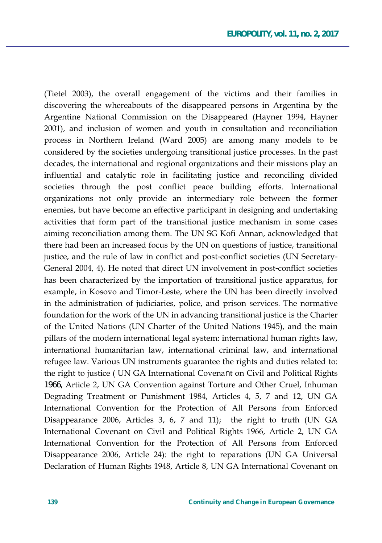(Tietel 2003), the overall engagement of the victims and their families in discovering the whereabouts of the disappeared persons in Argentina by the Argentine National Commission on the Disappeared (Hayner 1994, Hayner 2001), and inclusion of women and youth in consultation and reconciliation process in Northern Ireland (Ward 2005) are among many models to be considered by the societies undergoing transitional justice processes. In the past decades, the international and regional organizations and their missions play an influential and catalytic role in facilitating justice and reconciling divided societies through the post conflict peace building efforts. International organizations not only provide an intermediary role between the former enemies, but have become an effective participant in designing and undertaking activities that form part of the transitional justice mechanism in some cases aiming reconciliation among them. The UN SG Kofi Annan, acknowledged that there had been an increased focus by the UN on questions of justice, transitional justice, and the rule of law in conflict and post-conflict societies (UN Secretary-General 2004, 4). He noted that direct UN involvement in post-conflict societies has been characterized by the importation of transitional justice apparatus, for example, in Kosovo and Timor-Leste, where the UN has been directly involved in the administration of judiciaries, police, and prison services. The normative foundation for the work of the UN in advancing transitional justice is the Charter of the United Nations (UN Charter of the United Nations 1945), and the main pillars of the modern international legal system: international human rights law, international humanitarian law, international criminal law, and international refugee law. Various UN instruments guarantee the rights and duties related to: the right to justice (UN GA International Covenant on Civil and Political Rights 1966, Article 2, UN GA Convention against Torture and Other Cruel, Inhuman Degrading Treatment or Punishment 1984, Articles 4, 5, 7 and 12, UN GA International Convention for the Protection of All Persons from Enforced Disappearance 2006, Articles 3, 6, 7 and 11); the right to truth (UN GA International Covenant on Civil and Political Rights 1966, Article 2, UN GA International Convention for the Protection of All Persons from Enforced Disappearance 2006, Article 24): the right to reparations (UN GA Universal Declaration of Human Rights 1948, Article 8, UN GA International Covenant on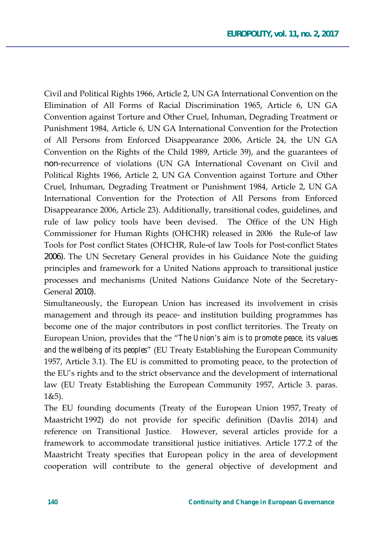Civil and Political Rights 1966, Article 2, UN GA International Convention on the Elimination of All Forms of Racial Discrimination 1965, Article 6, UN GA Convention against Torture and Other Cruel, Inhuman, Degrading Treatment or Punishment 1984, Article 6, UN GA International Convention for the Protection of All Persons from Enforced Disappearance 2006, Article 24, the UN GA Convention on the Rights of the Child 1989, Article 39), and the guarantees of non-recurrence of violations (UN GA International Covenant on Civil and Political Rights 1966, Article 2, UN GA Convention against Torture and Other Cruel, Inhuman, Degrading Treatment or Punishment 1984, Article 2, UN GA International Convention for the Protection of All Persons from Enforced Disappearance 2006, Article 23). Additionally, transitional codes, guidelines, and rule of law policy tools have been devised. The Office of the UN High Commissioner for Human Rights (OHCHR) released in 2006 the Rule-of law Tools for Post conflict States (OHCHR, Rule-of law Tools for Post-conflict States 2006). The UN Secretary General provides in his Guidance Note the guiding principles and framework for a United Nations approach to transitional justice processes and mechanisms (United Nations Guidance Note of the Secretary-General 2010).

Simultaneously, the European Union has increased its involvement in crisis management and through its peace- and institution building programmes has become one of the major contributors in post conflict territories. The Treaty on European Union, provides that the "The Union's aim is to promote peace, its values *and the wellbeing of its peoples*" (EU Treaty Establishing the European Community 1957, Article 3.1). The EU is committed to promoting peace, to the protection of the EU's rights and to the strict observance and the development of international law (EU Treaty Establishing the European Community 1957, Article 3. paras.  $1&5$ ).

The EU founding documents (Treaty of the European Union 1957, Treaty of Maastricht 1992) do not provide for specific definition (Davlis 2014) and reference on Transitional Justice. However, several articles provide for a framework to accommodate transitional justice initiatives. Article 177.2 of the Maastricht Treaty specifies that European policy in the area of development cooperation will contribute to the general objective of development and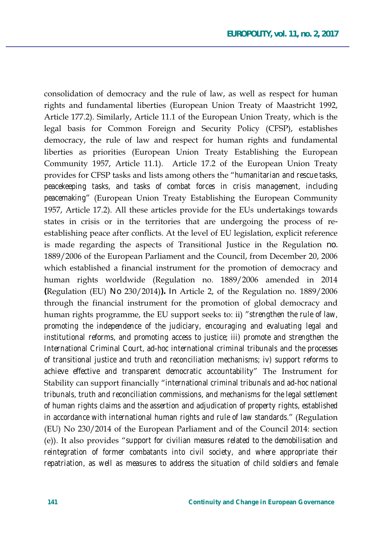consolidation of democracy and the rule of law, as well as respect for human rights and fundamental liberties (European Union Treaty of Maastricht 1992, Article 177.2). Similarly, Article 11.1 of the European Union Treaty, which is the legal basis for Common Foreign and Security Policy (CFSP), establishes democracy, the rule of law and respect for human rights and fundamental liberties as priorities (European Union Treaty Establishing the European Community 1957, Article 11.1). Article 17.2 of the European Union Treaty provides for CFSP tasks and lists among others the "*humanitarian and rescue tasks*, *peacekeeping tasks, and tasks of combat forces in crisis management, including peacemaking'* (European Union Treaty Establishing the European Community 1957, Article 17.2). All these articles provide for the EUs undertakings towards states in crisis or in the territories that are undergoing the process of reestablishing peace after conflicts. At the level of EU legislation, explicit reference is made regarding the aspects of Transitional Justice in the Regulation no. 1889/2006 of the European Parliament and the Council, from December 20, 2006 which established a financial instrument for the promotion of democracy and human rights worldwide (Regulation no. 1889/2006 amended in 2014 (Regulation (EU) No  $230/2014$ )). In Article 2, of the Regulation no.  $1889/2006$ through the financial instrument for the promotion of global democracy and human rights programme, the EU support seeks to: ii) "*strengthen the rule of law*, *promoting the independence of the judiciary, encouraging and evaluating legal and institutional reforms, and promoting access to justice; iii) promote and strengthen the International Criminal Court, ad-hoc international criminal tribunals and the processes of transitional justice and truth and reconciliation mechanisms; iv) support reforms to achieve effective and transparent democratic accountability*<sup>"</sup> The Instrument for Stability can support financially "international criminal tribunals and ad-hoc national *tribunals, truth and reconciliation commissions, and mechanisms for the legal settlement of human rights claims and the assertion and adjudication of property rights, established in accordance with international human rights and rule of law standards.*" (Regulation  $(EU)$  No 230/2014 of the European Parliament and of the Council 2014: section (e)). It also provides "support for civilian measures related to the demobilisation and *reintegration of former combatants into civil society, and where appropriate their repatriation, as well as measures to address the situation of child soldiers and female*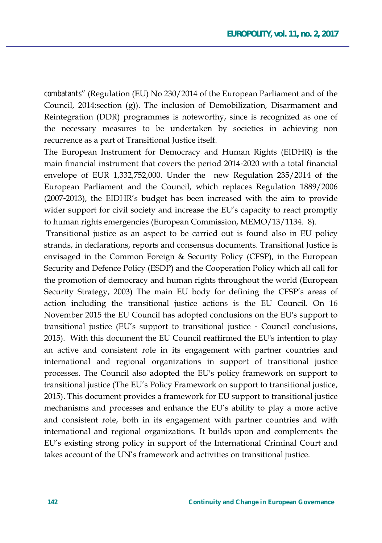*combatants*" (Regulation (EU) No 230/2014 of the European Parliament and of the Council,  $2014$ : section  $(g)$ ). The inclusion of Demobilization, Disarmament and Reintegration (DDR) programmes is noteworthy, since is recognized as one of the necessary measures to be undertaken by societies in achieving non recurrence as a part of Transitional Justice itself.

The European Instrument for Democracy and Human Rights (EIDHR) is the main financial instrument that covers the period 2014-2020 with a total financial envelope of EUR  $1,332,752,000$ . Under the new Regulation  $235/2014$  of the European Parliament and the Council, which replaces Regulation 1889/2006  $(2007-2013)$ , the EIDHR's budget has been increased with the aim to provide wider support for civil society and increase the EU's capacity to react promptly to human rights emergencies (European Commission, MEMO/13/1134. 8).

Transitional justice as an aspect to be carried out is found also in EU policy strands, in declarations, reports and consensus documents. Transitional Justice is envisaged in the Common Foreign & Security Policy (CFSP), in the European Security and Defence Policy (ESDP) and the Cooperation Policy which all call for the promotion of democracy and human rights throughout the world (European Security Strategy, 2003) The main EU body for defining the CFSP's areas of action including the transitional justice actions is the EU Council. On 16 November 2015 the EU Council has adopted conclusions on the EU's support to transitional justice (EU's support to transitional justice - Council conclusions, 2015). With this document the EU Council reaffirmed the EU's intention to play an active and consistent role in its engagement with partner countries and international and regional organizations in support of transitional justice processes. The Council also adopted the EU's policy framework on support to transitional justice (The EU's Policy Framework on support to transitional justice, 2015). This document provides a framework for EU support to transitional justice mechanisms and processes and enhance the EU's ability to play a more active and consistent role, both in its engagement with partner countries and with international and regional organizations. It builds upon and complements the EU's existing strong policy in support of the International Criminal Court and takes account of the UN's framework and activities on transitional justice.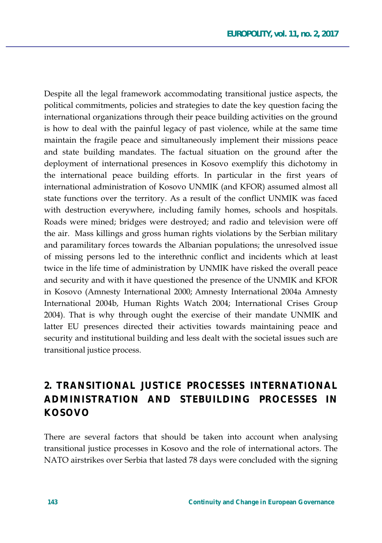Despite all the legal framework accommodating transitional justice aspects, the political commitments, policies and strategies to date the key question facing the international organizations through their peace building activities on the ground is how to deal with the painful legacy of past violence, while at the same time maintain the fragile peace and simultaneously implement their missions peace and state building mandates. The factual situation on the ground after the deployment of international presences in Kosovo exemplify this dichotomy in the international peace building efforts. In particular in the first years of international administration of Kosovo UNMIK (and KFOR) assumed almost all state functions over the territory. As a result of the conflict UNMIK was faced with destruction everywhere, including family homes, schools and hospitals. Roads were mined; bridges were destroyed; and radio and television were off the air. Mass killings and gross human rights violations by the Serbian military and paramilitary forces towards the Albanian populations; the unresolved issue of missing persons led to the interethnic conflict and incidents which at least twice in the life time of administration by UNMIK have risked the overall peace and security and with it have questioned the presence of the UNMIK and KFOR in Kosovo (Amnesty International 2000; Amnesty International 2004a Amnesty International 2004b, Human Rights Watch 2004; International Crises Group 2004). That is why through ought the exercise of their mandate UNMIK and latter EU presences directed their activities towards maintaining peace and security and institutional building and less dealt with the societal issues such are transitional justice process.

# **2. TRANSITIONAL JUSTICE PROCESSES INTERNATIONAL ADMINISTRATION AND STEBUILDING PROCESSES IN KOSOVO**

There are several factors that should be taken into account when analysing transitional justice processes in Kosovo and the role of international actors. The NATO airstrikes over Serbia that lasted 78 days were concluded with the signing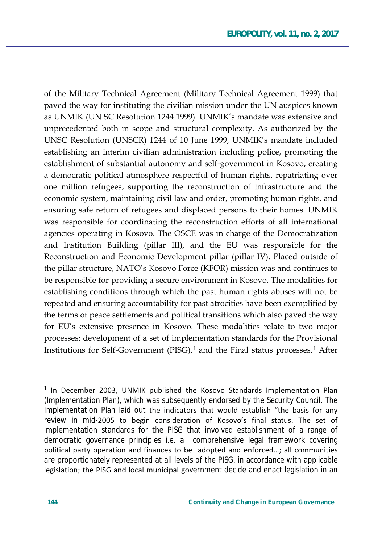of the Military Technical Agreement (Military Technical Agreement 1999) that paved the way for instituting the civilian mission under the UN auspices known as UNMIK (UN SC Resolution 1244 1999). UNMIK's mandate was extensive and unprecedented both in scope and structural complexity. As authorized by the UNSC Resolution (UNSCR) 1244 of 10 June 1999, UNMIK's mandate included establishing an interim civilian administration including police, promoting the establishment of substantial autonomy and self-government in Kosovo, creating a democratic political atmosphere respectful of human rights, repatriating over one million refugees, supporting the reconstruction of infrastructure and the economic system, maintaining civil law and order, promoting human rights, and ensuring safe return of refugees and displaced persons to their homes. UNMIK was responsible for coordinating the reconstruction efforts of all international agencies operating in Kosovo. The OSCE was in charge of the Democratization and Institution Building (pillar III), and the EU was responsible for the Reconstruction and Economic Development pillar (pillar IV). Placed outside of the pillar structure, NATO's Kosovo Force (KFOR) mission was and continues to be responsible for providing a secure environment in Kosovo. The modalities for establishing conditions through which the past human rights abuses will not be repeated and ensuring accountability for past atrocities have been exemplified by the terms of peace settlements and political transitions which also paved the way for EU's extensive presence in Kosovo. These modalities relate to two major processes: development of a set of implementation standards for the Provisional Institutions for Self-Government (PISG),<sup>1</sup> and the Final status processes.<sup>1</sup> After

 $\overline{a}$ 

<sup>&</sup>lt;sup>1</sup> In December 2003, UNMIK published the Kosovo Standards Implementation Plan (Implementation Plan), which was subsequently endorsed by the Security Council. The Implementation Plan laid out the indicators that would establish "the basis for any review in mid-2005 to begin consideration of Kosovo's final status. The set of implementation standards for the PISG that involved establishment of a range of democratic governance principles i.e. a comprehensive legal framework covering political party operation and finances to be adopted and enforced...; all communities are proportionately represented at all levels of the PISG, in accordance with applicable legislation; the PISG and local municipal government decide and enact legislation in an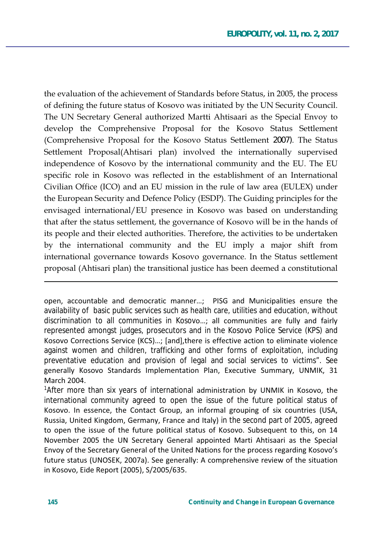the evaluation of the achievement of Standards before Status, in 2005, the process of defining the future status of Kosovo was initiated by the UN Security Council. The UN Secretary General authorized Martti Ahtisaari as the Special Envoy to develop the Comprehensive Proposal for the Kosovo Status Settlement (Comprehensive Proposal for the Kosovo Status Settlement 2007). The Status Settlement Proposal(Ahtisari plan) involved the internationally supervised independence of Kosovo by the international community and the EU. The EU specific role in Kosovo was reflected in the establishment of an International Civilian Office (ICO) and an EU mission in the rule of law area (EULEX) under the European Security and Defence Policy (ESDP). The Guiding principles for the envisaged international/EU presence in Kosovo was based on understanding that after the status settlement, the governance of Kosovo will be in the hands of its people and their elected authorities. Therefore, the activities to be undertaken by the international community and the EU imply a major shift from international governance towards Kosovo governance. In the Status settlement proposal (Ahtisari plan) the transitional justice has been deemed a constitutional

open, accountable and democratic manner...; PISG and Municipalities ensure the availability of basic public services such as health care, utilities and education, without discrimination to all communities in Kosovo...; all communities are fully and fairly represented amongst judges, prosecutors and in the Kosovo Police Service (KPS) and Kosovo Corrections Service (KCS)...; [and], there is effective action to eliminate violence against women and children, trafficking and other forms of exploitation, including preventative education and provision of legal and social services to victims". See generally Kosovo Standards Implementation Plan, Executive Summary, UNMIK, 31 March 2004.

<sup>1</sup>After more than six years of international administration by UNMIK in Kosovo, the international community agreed to open the issue of the future political status of Kosovo. In essence, the Contact Group, an informal grouping of six countries (USA, Russia, United Kingdom, Germany, France and Italy) in the second part of 2005, agreed to open the issue of the future political status of Kosovo. Subsequent to this, on 14 November 2005 the UN Secretary General appointed Marti Ahtisaari as the Special Envoy of the Secretary General of the United Nations for the process regarding Kosovo's future status (UNOSEK, 2007a). See generally: A comprehensive review of the situation in Kosovo, Eide Report (2005), S/2005/635.

 $\overline{a}$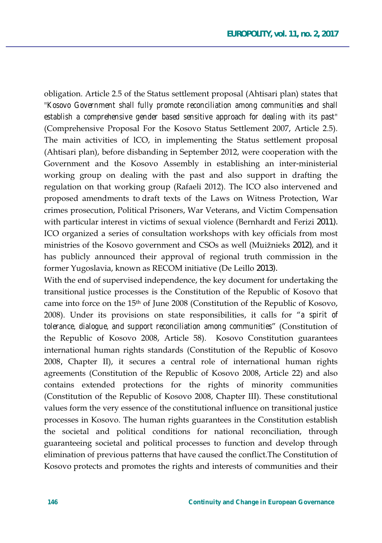obligation. Article 2.5 of the Status settlement proposal (Ahtisari plan) states that *Kosovo Government shall fully promote reconciliation among communities and shall establish a comprehensive gender based sensitive approach for dealing with its past* (Comprehensive Proposal For the Kosovo Status Settlement 2007, Article 2.5). The main activities of ICO, in implementing the Status settlement proposal (Ahtisari plan), before disbanding in September 2012, were cooperation with the Government and the Kosovo Assembly in establishing an inter-ministerial working group on dealing with the past and also support in drafting the regulation on that working group (Rafaeli 2012). The ICO also intervened and proposed amendments to draft texts of the Laws on Witness Protection, War crimes prosecution, Political Prisoners, War Veterans, and Victim Compensation with particular interest in victims of sexual violence (Bernhardt and Ferizi 2011). ICO organized a series of consultation workshops with key officials from most ministries of the Kosovo government and CSOs as well (Muižnieks 2012), and it has publicly announced their approval of regional truth commission in the former Yugoslavia, known as RECOM initiative (De Leillo 2013).

With the end of supervised independence, the key document for undertaking the transitional justice processes is the Constitution of the Republic of Kosovo that came into force on the  $15<sup>th</sup>$  of June 2008 (Constitution of the Republic of Kosovo, 2008). Under its provisions on state responsibilities, it calls for "*a spirit of tolerance, dialogue, and support reconciliation among communities*" (Constitution of the Republic of Kosovo 2008, Article 58). Kosovo Constitution guarantees international human rights standards (Constitution of the Republic of Kosovo 2008, Chapter II), it secures a central role of international human rights agreements (Constitution of the Republic of Kosovo 2008, Article 22) and also contains extended protections for the rights of minority communities (Constitution of the Republic of Kosovo 2008, Chapter III). These constitutional values form the very essence of the constitutional influence on transitional justice processes in Kosovo. The human rights guarantees in the Constitution establish the societal and political conditions for national reconciliation, through guaranteeing societal and political processes to function and develop through elimination of previous patterns that have caused the conflict. The Constitution of Kosovo protects and promotes the rights and interests of communities and their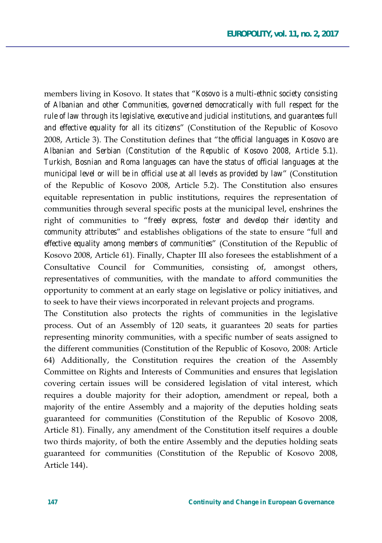members living in Kosovo. It states that "*Kosovo is a multi-ethnic society consisting of Albanian and other Communities, governed democratically with full respect for the rule of law through its legislative, executive and judicial institutions, and guarantees full*  and effective equality for all its citizens<sup>"</sup> (Constitution of the Republic of Kosovo 2008, Article 3). The Constitution defines that "the official languages in Kosovo are *Albanian and Serbian (Constitution of the Republic of Kosovo 2008, Article 5.1). Turkish, Bosnian and Roma languages can have the status of official languages at the municipal level or will be in official use at all levels as provided by law'* (Constitution of the Republic of Kosovo 2008, Article 5.2). The Constitution also ensures equitable representation in public institutions, requires the representation of communities through several specific posts at the municipal level, enshrines the right of communities to "freely express, foster and develop their identity and *community attributes*<sup>"</sup> and establishes obligations of the state to ensure "*full and* effective equality among members of communities" (Constitution of the Republic of Kosovo 2008, Article 61). Finally, Chapter III also foresees the establishment of a Consultative Council for Communities, consisting of, amongst others, representatives of communities, with the mandate to afford communities the opportunity to comment at an early stage on legislative or policy initiatives, and to seek to have their views incorporated in relevant projects and programs.

The Constitution also protects the rights of communities in the legislative process. Out of an Assembly of 120 seats, it guarantees 20 seats for parties representing minority communities, with a specific number of seats assigned to the different communities (Constitution of the Republic of Kosovo, 2008: Article 64) Additionally, the Constitution requires the creation of the Assembly Committee on Rights and Interests of Communities and ensures that legislation covering certain issues will be considered legislation of vital interest, which requires a double majority for their adoption, amendment or repeal, both a majority of the entire Assembly and a majority of the deputies holding seats guaranteed for communities (Constitution of the Republic of Kosovo 2008, Article 81). Finally, any amendment of the Constitution itself requires a double two thirds majority, of both the entire Assembly and the deputies holding seats guaranteed for communities (Constitution of the Republic of Kosovo 2008, Article 144).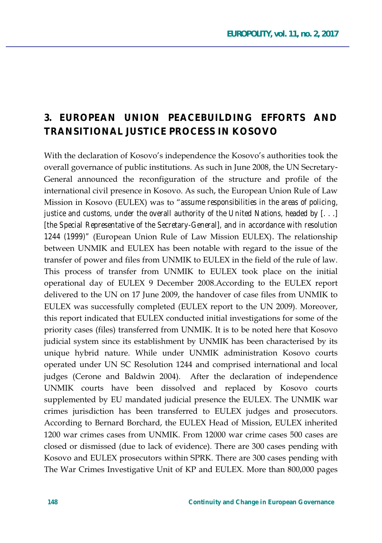### **3. EUROPEAN UNION PEACEBUILDING EFFORTS AND TRANSITIONAL JUSTICE PROCESS IN KOSOVO**

With the declaration of Kosovo's independence the Kosovo's authorities took the overall governance of public institutions. As such in June 2008, the UN Secretary-General announced the reconfiguration of the structure and profile of the international civil presence in Kosovo. As such, the European Union Rule of Law Mission in Kosovo (EULEX) was to "assume responsibilities in the areas of policing, *justice and customs, under the overall authority of the United Nations, headed by [. . .] [the Special Representative of the Secretary-General], and in accordance with resolution*  1244 (1999)" (European Union Rule of Law Mission EULEX). The relationship between UNMIK and EULEX has been notable with regard to the issue of the transfer of power and files from UNMIK to EULEX in the field of the rule of law. This process of transfer from UNMIK to EULEX took place on the initial operational day of EULEX 9 December 2008.According to the EULEX report delivered to the UN on 17 June 2009, the handover of case files from UNMIK to EULEX was successfully completed (EULEX report to the UN 2009). Moreover, this report indicated that EULEX conducted initial investigations for some of the priority cases (files) transferred from UNMIK. It is to be noted here that Kosovo judicial system since its establishment by UNMIK has been characterised by its unique hybrid nature. While under UNMIK administration Kosovo courts operated under UN SC Resolution 1244 and comprised international and local judges (Cerone and Baldwin 2004). After the declaration of independence UNMIK courts have been dissolved and replaced by Kosovo courts supplemented by EU mandated judicial presence the EULEX. The UNMIK war crimes jurisdiction has been transferred to EULEX judges and prosecutors. According to Bernard Borchard, the EULEX Head of Mission, EULEX inherited 1200 war crimes cases from UNMIK. From 12000 war crime cases 500 cases are closed or dismissed (due to lack of evidence). There are 300 cases pending with Kosovo and EULEX prosecutors within SPRK. There are 300 cases pending with The War Crimes Investigative Unit of KP and EULEX. More than 800,000 pages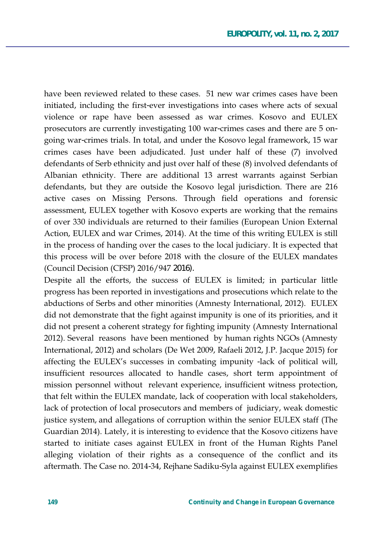have been reviewed related to these cases. 51 new war crimes cases have been initiated, including the first-ever investigations into cases where acts of sexual violence or rape have been assessed as war crimes. Kosovo and EULEX prosecutors are currently investigating 100 war-crimes cases and there are 5 ongoing war-crimes trials. In total, and under the Kosovo legal framework, 15 war crimes cases have been adjudicated. Just under half of these (7) involved defendants of Serb ethnicity and just over half of these (8) involved defendants of Albanian ethnicity. There are additional 13 arrest warrants against Serbian defendants, but they are outside the Kosovo legal jurisdiction. There are 216 active cases on Missing Persons. Through field operations and forensic assessment, EULEX together with Kosovo experts are working that the remains of over 330 individuals are returned to their families (European Union External Action, EULEX and war Crimes, 2014). At the time of this writing EULEX is still in the process of handing over the cases to the local judiciary. It is expected that this process will be over before 2018 with the closure of the EULEX mandates (Council Decision (CFSP) 2016/947 2016).

Despite all the efforts, the success of EULEX is limited; in particular little progress has been reported in investigations and prosecutions which relate to the abductions of Serbs and other minorities (Amnesty International, 2012). EULEX did not demonstrate that the fight against impunity is one of its priorities, and it did not present a coherent strategy for fighting impunity (Amnesty International 2012). Several reasons have been mentioned by human rights NGOs (Amnesty International, 2012) and scholars (De Wet 2009, Rafaeli 2012, J.P. Jacque 2015) for affecting the EULEX's successes in combating impunity -lack of political will, insufficient resources allocated to handle cases, short term appointment of mission personnel without relevant experience, insufficient witness protection, that felt within the EULEX mandate, lack of cooperation with local stakeholders, lack of protection of local prosecutors and members of judiciary, weak domestic justice system, and allegations of corruption within the senior EULEX staff (The Guardian 2014). Lately, it is interesting to evidence that the Kosovo citizens have started to initiate cases against EULEX in front of the Human Rights Panel alleging violation of their rights as a consequence of the conflict and its aftermath. The Case no. 2014-34, Rejhane Sadiku-Syla against EULEX exemplifies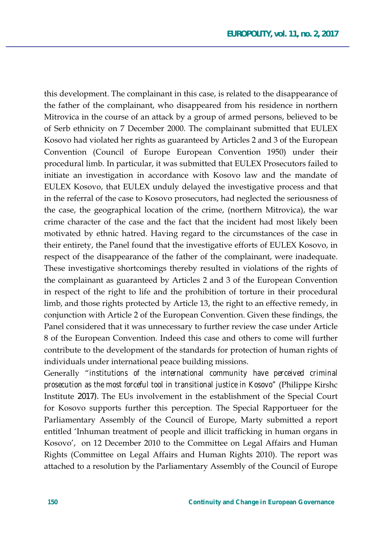this development. The complainant in this case, is related to the disappearance of the father of the complainant, who disappeared from his residence in northern Mitrovica in the course of an attack by a group of armed persons, believed to be of Serb ethnicity on 7 December 2000. The complainant submitted that EULEX Kosovo had violated her rights as guaranteed by Articles 2 and 3 of the European Convention (Council of Europe European Convention 1950) under their procedural limb. In particular, it was submitted that EULEX Prosecutors failed to initiate an investigation in accordance with Kosovo law and the mandate of EULEX Kosovo, that EULEX unduly delayed the investigative process and that in the referral of the case to Kosovo prosecutors, had neglected the seriousness of the case, the geographical location of the crime, (northern Mitrovica), the war crime character of the case and the fact that the incident had most likely been motivated by ethnic hatred. Having regard to the circumstances of the case in their entirety, the Panel found that the investigative efforts of EULEX Kosovo, in respect of the disappearance of the father of the complainant, were inadequate. These investigative shortcomings thereby resulted in violations of the rights of the complainant as guaranteed by Articles 2 and 3 of the European Convention in respect of the right to life and the prohibition of torture in their procedural limb, and those rights protected by Article 13, the right to an effective remedy, in conjunction with Article 2 of the European Convention. Given these findings, the Panel considered that it was unnecessary to further review the case under Article 8 of the European Convention. Indeed this case and others to come will further contribute to the development of the standards for protection of human rights of individuals under international peace building missions.

Generally "*institutions of the international community have perceived criminal prosecution as the most forceful tool in transitional justice in Kosovo"* (Philippe Kirshc Institute 2017). The EUs involvement in the establishment of the Special Court for Kosovo supports further this perception. The Special Rapportueer for the Parliamentary Assembly of the Council of Europe, Marty submitted a report entitled 'Inhuman treatment of people and illicit trafficking in human organs in Kosovo', on 12 December 2010 to the Committee on Legal Affairs and Human Rights (Committee on Legal Affairs and Human Rights 2010). The report was attached to a resolution by the Parliamentary Assembly of the Council of Europe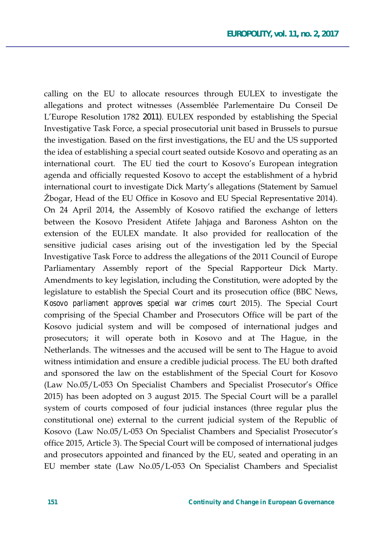calling on the EU to allocate resources through EULEX to investigate the allegations and protect witnesses (Assemblée Parlementaire Du Conseil De L'Europe Resolution 1782 2011). EULEX responded by establishing the Special Investigative Task Force, a special prosecutorial unit based in Brussels to pursue the investigation. Based on the first investigations, the EU and the US supported the idea of establishing a special court seated outside Kosovo and operating as an international court. The EU tied the court to Kosovo's European integration agenda and officially requested Kosovo to accept the establishment of a hybrid international court to investigate Dick Marty's allegations (Statement by Samuel Žbogar, Head of the EU Office in Kosovo and EU Special Representative 2014). On 24 April 2014, the Assembly of Kosovo ratified the exchange of letters between the Kosovo President Atifete Jahjaga and Baroness Ashton on the extension of the EULEX mandate. It also provided for reallocation of the sensitive judicial cases arising out of the investigation led by the Special Investigative Task Force to address the allegations of the 2011 Council of Europe Parliamentary Assembly report of the Special Rapporteur Dick Marty. Amendments to key legislation, including the Constitution, were adopted by the legislature to establish the Special Court and its prosecution office (BBC News, Kosovo parliament approves special war crimes court 2015). The Special Court comprising of the Special Chamber and Prosecutors Office will be part of the Kosovo judicial system and will be composed of international judges and prosecutors; it will operate both in Kosovo and at The Hague, in the Netherlands. The witnesses and the accused will be sent to The Hague to avoid witness intimidation and ensure a credible judicial process. The EU both drafted and sponsored the law on the establishment of the Special Court for Kosovo (Law No.05/L-053 On Specialist Chambers and Specialist Prosecutor's Office 2015) has been adopted on 3 august 2015. The Special Court will be a parallel system of courts composed of four judicial instances (three regular plus the constitutional one) external to the current judicial system of the Republic of Kosovo (Law No.05/L-053 On Specialist Chambers and Specialist Prosecutor's office 2015, Article 3). The Special Court will be composed of international judges and prosecutors appointed and financed by the EU, seated and operating in an EU member state (Law No.05/L-053 On Specialist Chambers and Specialist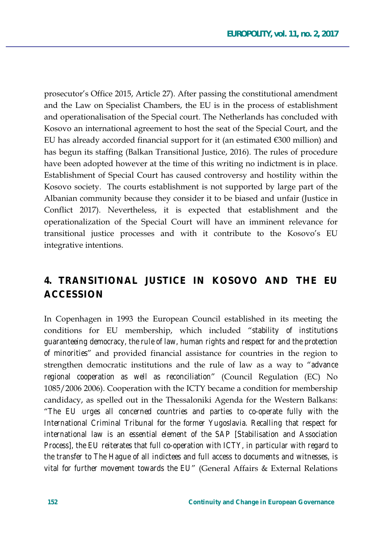prosecutor's Office 2015, Article 27). After passing the constitutional amendment and the Law on Specialist Chambers, the EU is in the process of establishment and operationalisation of the Special court. The Netherlands has concluded with Kosovo an international agreement to host the seat of the Special Court, and the EU has already accorded financial support for it (an estimated  $\epsilon$ 300 million) and has begun its staffing (Balkan Transitional Justice, 2016). The rules of procedure have been adopted however at the time of this writing no indictment is in place. Establishment of Special Court has caused controversy and hostility within the Kosovo society. The courts establishment is not supported by large part of the Albanian community because they consider it to be biased and unfair (Justice in Conflict 2017). Nevertheless, it is expected that establishment and the operationalization of the Special Court will have an imminent relevance for transitional justice processes and with it contribute to the Kosovo's EU integrative intentions.

## 4. TRANSITIONAL JUSTICE IN KOSOVO AND THE EU **ACCESSION**

In Copenhagen in 1993 the European Council established in its meeting the conditions for EU membership, which included "stability of institutions quaranteeing democracy, the rule of law, human rights and respect for and the protection of minorities" and provided financial assistance for countries in the region to strengthen democratic institutions and the rule of law as a way to "advance" regional cooperation as well as reconciliation" (Council Regulation (EC) No 1085/2006 2006). Cooperation with the ICTY became a condition for membership candidacy, as spelled out in the Thessaloniki Agenda for the Western Balkans: "The EU urges all concerned countries and parties to co-operate fully with the International Criminal Tribunal for the former Yugoslavia. Recalling that respect for international law is an essential element of the SAP [Stabilisation and Association Process], the EU reiterates that full co-operation with ICTY, in particular with regard to the transfer to The Hague of all indictees and full access to documents and witnesses, is vital for further movement towards the EU" (General Affairs & External Relations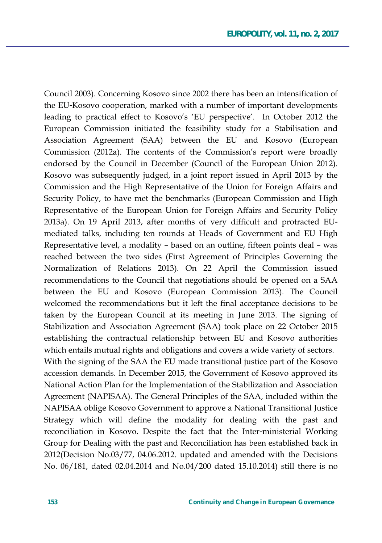Council 2003). Concerning Kosovo since 2002 there has been an intensification of the EU-Kosovo cooperation, marked with a number of important developments leading to practical effect to Kosovo's 'EU perspective'. In October 2012 the European Commission initiated the feasibility study for a Stabilisation and Association Agreement (SAA) between the EU and Kosovo (European Commission (2012a). The contents of the Commission's report were broadly endorsed by the Council in December (Council of the European Union 2012). Kosovo was subsequently judged, in a joint report issued in April 2013 by the Commission and the High Representative of the Union for Foreign Affairs and Security Policy, to have met the benchmarks (European Commission and High Representative of the European Union for Foreign Affairs and Security Policy 2013a). On 19 April 2013, after months of very difficult and protracted EUmediated talks, including ten rounds at Heads of Government and EU High Representative level, a modality - based on an outline, fifteen points deal - was reached between the two sides (First Agreement of Principles Governing the Normalization of Relations 2013). On 22 April the Commission issued recommendations to the Council that negotiations should be opened on a SAA between the EU and Kosovo (European Commission 2013). The Council welcomed the recommendations but it left the final acceptance decisions to be taken by the European Council at its meeting in June 2013. The signing of Stabilization and Association Agreement (SAA) took place on 22 October 2015 establishing the contractual relationship between EU and Kosovo authorities which entails mutual rights and obligations and covers a wide variety of sectors. With the signing of the SAA the EU made transitional justice part of the Kosovo accession demands. In December 2015, the Government of Kosovo approved its National Action Plan for the Implementation of the Stabilization and Association Agreement (NAPISAA). The General Principles of the SAA, included within the NAPISAA oblige Kosovo Government to approve a National Transitional Justice Strategy which will define the modality for dealing with the past and reconciliation in Kosovo. Despite the fact that the Inter-ministerial Working Group for Dealing with the past and Reconciliation has been established back in 2012 (Decision No.03/77, 04.06.2012. updated and amended with the Decisions No. 06/181, dated 02.04.2014 and No.04/200 dated 15.10.2014) still there is no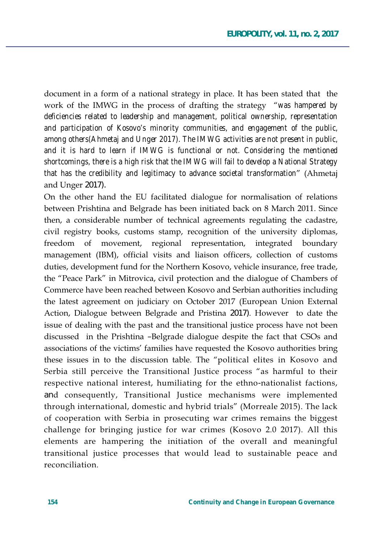document in a form of a national strategy in place. It has been stated that the work of the IMWG in the process of drafting the strategy "was hampered by *deficiencies related to leadership and management, political ownership, representation and participation of Kosovo's minority communities, and engagement of the public, among others(Ahmetaj and Unger 2017). The IMWG activities are not present in public, and it is hard to learn if IMWG is functional or not. Considering the mentioned shortcomings, there is a high risk that the IMWG will fail to develop a National Strategy that has the credibility and legitimacy to advance societal transformation*" (Ahmetai and Unger 2017).

On the other hand the EU facilitated dialogue for normalisation of relations between Prishtina and Belgrade has been initiated back on 8 March 2011. Since then, a considerable number of technical agreements regulating the cadastre, civil registry books, customs stamp, recognition of the university diplomas, freedom of movement, regional representation, integrated boundary management (IBM), official visits and liaison officers, collection of customs duties, development fund for the Northern Kosovo, vehicle insurance, free trade, the "Peace Park" in Mitrovica, civil protection and the dialogue of Chambers of Commerce have been reached between Kosovo and Serbian authorities including the latest agreement on judiciary on October 2017 (European Union External Action, Dialogue between Belgrade and Pristina 2017). However to date the issue of dealing with the past and the transitional justice process have not been discussed in the Prishtina –Belgrade dialogue despite the fact that CSOs and associations of the victims' families have requested the Kosovo authorities bring these issues in to the discussion table. The "political elites in Kosovo and Serbia still perceive the Transitional Justice process "as harmful to their respective national interest, humiliating for the ethno-nationalist factions, and consequently, Transitional Justice mechanisms were implemented through international, domestic and hybrid trials" (Morreale 2015). The lack of cooperation with Serbia in prosecuting war crimes remains the biggest challenge for bringing justice for war crimes (Kosovo 2.0 2017). All this elements are hampering the initiation of the overall and meaningful transitional justice processes that would lead to sustainable peace and reconciliation.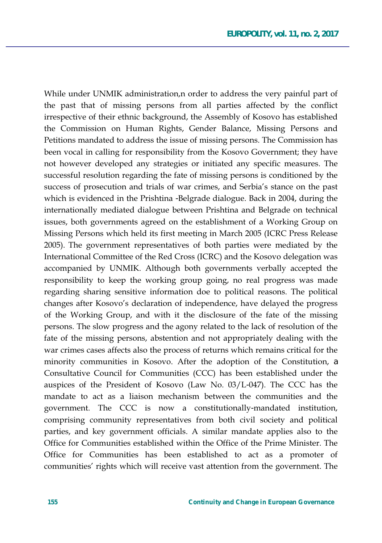While under UNMIK administration, n order to address the very painful part of the past that of missing persons from all parties affected by the conflict irrespective of their ethnic background, the Assembly of Kosovo has established the Commission on Human Rights, Gender Balance, Missing Persons and Petitions mandated to address the issue of missing persons. The Commission has been vocal in calling for responsibility from the Kosovo Government; they have not however developed any strategies or initiated any specific measures. The successful resolution regarding the fate of missing persons is conditioned by the success of prosecution and trials of war crimes, and Serbia's stance on the past which is evidenced in the Prishtina -Belgrade dialogue. Back in 2004, during the internationally mediated dialogue between Prishtina and Belgrade on technical issues, both governments agreed on the establishment of a Working Group on Missing Persons which held its first meeting in March 2005 (ICRC Press Release) 2005). The government representatives of both parties were mediated by the International Committee of the Red Cross (ICRC) and the Kosovo delegation was accompanied by UNMIK. Although both governments verbally accepted the responsibility to keep the working group going, no real progress was made regarding sharing sensitive information doe to political reasons. The political changes after Kosovo's declaration of independence, have delayed the progress of the Working Group, and with it the disclosure of the fate of the missing persons. The slow progress and the agony related to the lack of resolution of the fate of the missing persons, abstention and not appropriately dealing with the war crimes cases affects also the process of returns which remains critical for the minority communities in Kosovo. After the adoption of the Constitution, a Consultative Council for Communities (CCC) has been established under the auspices of the President of Kosovo (Law No.  $03/L-047$ ). The CCC has the mandate to act as a liaison mechanism between the communities and the government. The CCC is now a constitutionally-mandated institution, comprising community representatives from both civil society and political parties, and key government officials. A similar mandate applies also to the Office for Communities established within the Office of the Prime Minister. The Office for Communities has been established to act as a promoter of communities' rights which will receive vast attention from the government. The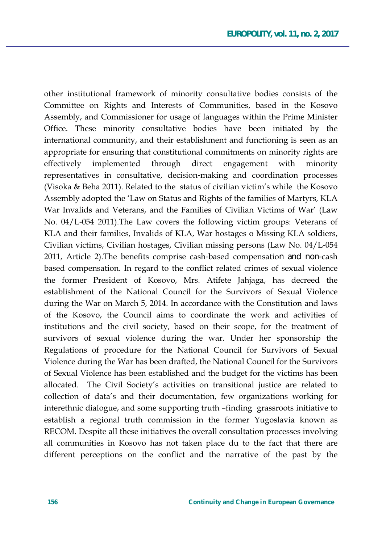other institutional framework of minority consultative bodies consists of the Committee on Rights and Interests of Communities, based in the Kosovo Assembly, and Commissioner for usage of languages within the Prime Minister Office. These minority consultative bodies have been initiated by the international community, and their establishment and functioning is seen as an appropriate for ensuring that constitutional commitments on minority rights are effectively implemented through direct engagement with minority representatives in consultative, decision-making and coordination processes (Visoka & Beha 2011). Related to the status of civilian victim's while the Kosovo Assembly adopted the 'Law on Status and Rights of the families of Martyrs, KLA War Invalids and Veterans, and the Families of Civilian Victims of War' (Law No. 04/L-054 2011). The Law covers the following victim groups: Veterans of KLA and their families, Invalids of KLA, War hostages o Missing KLA soldiers, Civilian victims, Civilian hostages, Civilian missing persons (Law No.  $04/L-054$ ) 2011, Article 2). The benefits comprise cash-based compensation and non-cash based compensation. In regard to the conflict related crimes of sexual violence the former President of Kosovo, Mrs. Atifete Jahjaga, has decreed the establishment of the National Council for the Survivors of Sexual Violence during the War on March 5, 2014. In accordance with the Constitution and laws of the Kosovo, the Council aims to coordinate the work and activities of institutions and the civil society, based on their scope, for the treatment of survivors of sexual violence during the war. Under her sponsorship the Regulations of procedure for the National Council for Survivors of Sexual Violence during the War has been drafted, the National Council for the Survivors of Sexual Violence has been established and the budget for the victims has been allocated. The Civil Society's activities on transitional justice are related to collection of data's and their documentation, few organizations working for interethnic dialogue, and some supporting truth -finding grassroots initiative to establish a regional truth commission in the former Yugoslavia known as RECOM. Despite all these initiatives the overall consultation processes involving all communities in Kosovo has not taken place du to the fact that there are different perceptions on the conflict and the narrative of the past by the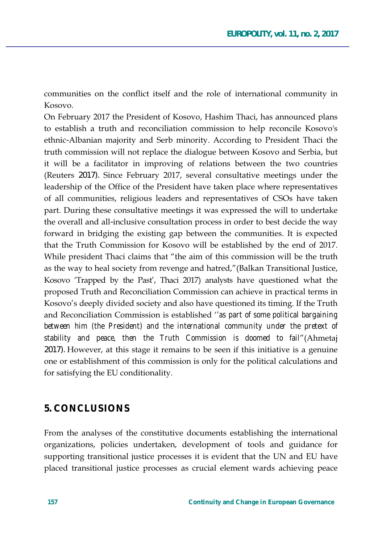communities on the conflict itself and the role of international community in Kosovo

On February 2017 the President of Kosovo, Hashim Thaci, has announced plans to establish a truth and reconciliation commission to help reconcile Kosovo's ethnic-Albanian majority and Serb minority. According to President Thaci the truth commission will not replace the dialogue between Kosovo and Serbia, but it will be a facilitator in improving of relations between the two countries (Reuters 2017). Since February 2017, several consultative meetings under the leadership of the Office of the President have taken place where representatives of all communities, religious leaders and representatives of CSOs have taken part. During these consultative meetings it was expressed the will to undertake the overall and all-inclusive consultation process in order to best decide the way forward in bridging the existing gap between the communities. It is expected that the Truth Commission for Kosovo will be established by the end of 2017. While president Thaci claims that "the aim of this commission will be the truth as the way to heal society from revenge and hatred,"(Balkan Transitional Justice, Kosovo 'Trapped by the Past', Thaci 2017) analysts have questioned what the proposed Truth and Reconciliation Commission can achieve in practical terms in Kosovo's deeply divided society and also have questioned its timing. If the Truth and Reconciliation Commission is established '*'as part of some political bargaining* between him (the President) and the international community under the pretext of *stability and peace, then the Truth Commission is doomed to fail'*(Ahmetaj 2017). However, at this stage it remains to be seen if this initiative is a genuine one or establishment of this commission is only for the political calculations and for satisfying the EU conditionality.

#### **5. CONCLUSIONS**

From the analyses of the constitutive documents establishing the international organizations, policies undertaken, development of tools and guidance for supporting transitional justice processes it is evident that the UN and EU have placed transitional justice processes as crucial element wards achieving peace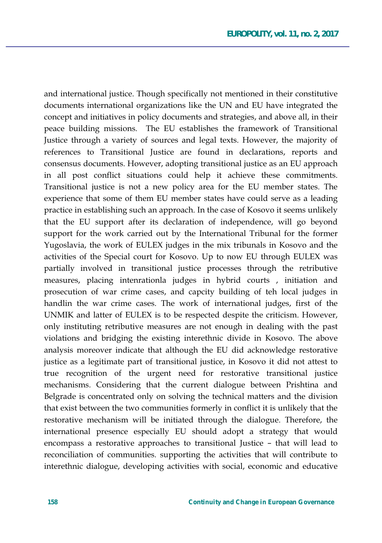and international justice. Though specifically not mentioned in their constitutive documents international organizations like the UN and EU have integrated the concept and initiatives in policy documents and strategies, and above all, in their peace building missions. The EU establishes the framework of Transitional Justice through a variety of sources and legal texts. However, the majority of references to Transitional Justice are found in declarations, reports and consensus documents. However, adopting transitional justice as an EU approach in all post conflict situations could help it achieve these commitments. Transitional justice is not a new policy area for the EU member states. The experience that some of them EU member states have could serve as a leading practice in establishing such an approach. In the case of Kosovo it seems unlikely that the EU support after its declaration of independence, will go beyond support for the work carried out by the International Tribunal for the former Yugoslavia, the work of EULEX judges in the mix tribunals in Kosovo and the activities of the Special court for Kosovo. Up to now EU through EULEX was partially involved in transitional justice processes through the retributive measures, placing intenrationla judges in hybrid courts, initiation and prosecution of war crime cases, and capcity building of teh local judges in handlin the war crime cases. The work of international judges, first of the UNMIK and latter of EULEX is to be respected despite the criticism. However, only instituting retributive measures are not enough in dealing with the past violations and bridging the existing interethnic divide in Kosovo. The above analysis moreover indicate that although the EU did acknowledge restorative justice as a legitimate part of transitional justice, in Kosovo it did not attest to true recognition of the urgent need for restorative transitional justice mechanisms. Considering that the current dialogue between Prishtina and Belgrade is concentrated only on solving the technical matters and the division that exist between the two communities formerly in conflict it is unlikely that the restorative mechanism will be initiated through the dialogue. Therefore, the international presence especially EU should adopt a strategy that would encompass a restorative approaches to transitional Justice - that will lead to reconciliation of communities. supporting the activities that will contribute to interethnic dialogue, developing activities with social, economic and educative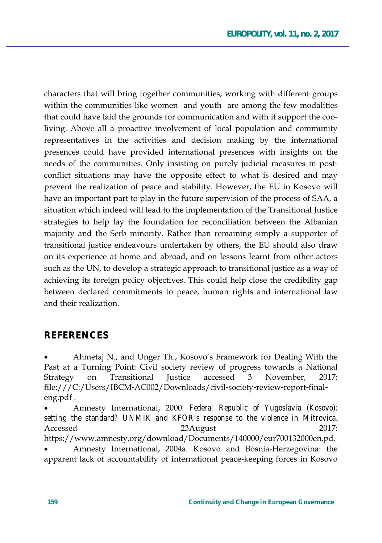characters that will bring together communities, working with different groups within the communities like women and youth are among the few modalities that could have laid the grounds for communication and with it support the cooliving. Above all a proactive involvement of local population and community representatives in the activities and decision making by the international presences could have provided international presences with insights on the needs of the communities. Only insisting on purely judicial measures in postconflict situations may have the opposite effect to what is desired and may prevent the realization of peace and stability. However, the EU in Kosovo will have an important part to play in the future supervision of the process of SAA, a situation which indeed will lead to the implementation of the Transitional Justice strategies to help lay the foundation for reconciliation between the Albanian majority and the Serb minority. Rather than remaining simply a supporter of transitional justice endeavours undertaken by others, the EU should also draw on its experience at home and abroad, and on lessons learnt from other actors such as the UN, to develop a strategic approach to transitional justice as a way of achieving its foreign policy objectives. This could help close the credibility gap between declared commitments to peace, human rights and international law and their realization.

### **REFERENCES**

Ahmetaj N., and Unger Th., Kosovo's Framework for Dealing With the Past at a Turning Point: Civil society review of progress towards a National Strategy on Transitional Justice accessed 3 November, 2017: file:///C:/Users/IBCM-AC002/Downloads/civil-society-review-report-finaleng.pdf.

Amnesty International, 2000. Federal Republic of Yugoslavia (Kosovo): *setting the standard? UNMIK and KFOR's response to the violence in Mitrovica*. \$FFHVVHG \$XJXVW

https://www.amnesty.org/download/Documents/140000/eur700132000en.pd.

Amnesty International, 2004a. Kosovo and Bosnia-Herzegovina: the apparent lack of accountability of international peace-keeping forces in Kosovo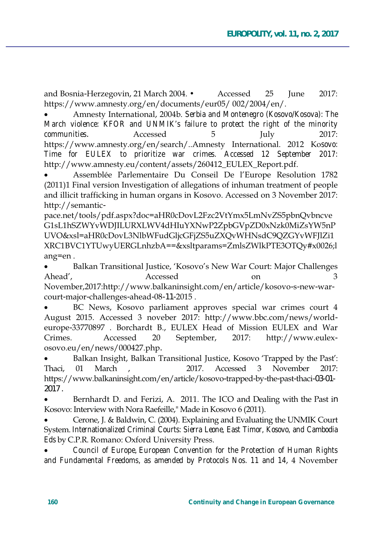and Bosnia-Herzegovin, 21 March  $2004. \bullet$  Accessed 25 June 2017: https://www.amnesty.org/en/documents/eur05/002/2004/en/.

Amnesty International, 2004b. Serbia and Montenegro (Kosovo/Kosova): The *March violence: KFOR and UNMIK's failure to protect the right of the minority communities.* Accessed 5 5 July 2017: https://www.amnesty.org/en/search/..Amnesty International. 2012 Kosovo: *Time for EULEX to prioritize war crimes. Accessed 12 September 2017:*  http://www.amnesty.eu/content/assets/260412 EULEX Report.pdf.

Assemblée Parlementaire Du Conseil De l'Europe Resolution 1782 (2011)1 Final version Investigation of allegations of inhuman treatment of people and illicit trafficking in human organs in Kosovo. Accessed on 3 November 2017: http://semantic-

pace.net/tools/pdf.aspx?doc=aHR0cDovL2Fzc2VtYmx5LmNvZS5pbnQvbncve G1sL1hSZWYvWDJILURXLWV4dHIuYXNwP2ZpbGVpZD0xNzk0MiZsYW5nP UVO&xsl=aHR0cDovL3NlbWFudGljcGFjZS5uZXQvWHNsdC9QZGYvWFJlZi1 XRC1BVC1YTUwyUERGLnhzbA==&xsltparams=ZmlsZWlkPTE3OTQv#x0026;l ang=en.

Balkan Transitional Justice, 'Kosovo's New War Court: Major Challenges Ahead', Accessed on 3 November,2017:http://www.balkaninsight.com/en/article/kosovo-s-new-warcourt-major-challenges-ahead-08-11-2015.

BC News, Kosovo parliament approves special war crimes court 4 August 2015. Accessed 3 noveber 2017: http://www.bbc.com/news/worldeurope-33770897 . Borchardt B., EULEX Head of Mission EULEX and War Crimes. Accessed 20 September, 2017: http://www.eulexosovo.eu/en/news/000427.php.

Balkan Insight, Balkan Transitional Justice, Kosovo 'Trapped by the Past': Thaci, 01 March , 2017. Accessed 3 November 2017: https://www.balkaninsight.com/en/article/kosovo-trapped-by-the-past-thaci-03-01-2017 .

Bernhardt D. and Ferizi, A. 2011. The ICO and Dealing with the Past in Kosovo: Interview with Nora Raefeille," Made in Kosovo 6 (2011).

Cerone, J. & Baldwin, C. (2004). Explaining and Evaluating the UNMIK Court System. Internationalized Criminal Courts: Sierra Leone, East Timor, Kosovo, and Cambodia *Eds* by C.P.R. Romano: Oxford University Press.

x *Council of Europe, European Convention for the Protection of Human Rights*  and Fundamental Freedoms, as amended by Protocols Nos. 11 and 14, 4 November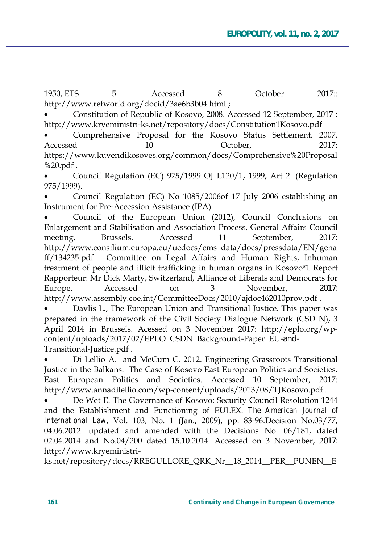1950, ETS 5. Accessed 8 October 2017:: http://www.refworld.org/docid/3ae6b3b04.html;

Constitution of Republic of Kosovo, 2008. Accessed 12 September, 2017: http://www.kryeministri-ks.net/repository/docs/Constitution1Kosovo.pdf

Comprehensive Proposal for the Kosovo Status Settlement. 2007. Accessed 10 10 October, 2017: https://www.kuvendikosoves.org/common/docs/Comprehensive%20Proposal  $%20.pdf$ .

Council Regulation (EC)  $975/1999$  OJ L120/1, 1999, Art 2. (Regulation 975/1999).

Council Regulation (EC) No 1085/2006 of 17 July 2006 establishing an Instrument for Pre-Accession Assistance (IPA)

Council of the European Union (2012), Council Conclusions on Enlargement and Stabilisation and Association Process, General Affairs Council meeting, Brussels. Accessed 11 September, 2017: http://www.consilium.europa.eu/uedocs/cms\_data/docs/pressdata/EN/gena ff/134235.pdf . Committee on Legal Affairs and Human Rights, Inhuman treatment of people and illicit trafficking in human organs in Kosovo\*1 Report Rapporteur: Mr Dick Marty, Switzerland, Alliance of Liberals and Democrats for Europe. Accessed on 3 November, 2017: http://www.assembly.coe.int/CommitteeDocs/2010/ajdoc462010prov.pdf.

Davlis L., The European Union and Transitional Justice. This paper was prepared in the framework of the Civil Society Dialogue Network (CSD N),  $3$ April 2014 in Brussels. Acessed on 3 November 2017: http://eplo.org/wpcontent/uploads/2017/02/EPLO\_CSDN\_Background-Paper\_EU-and-Transitional-Justice.pdf.

Di Lellio A. and MeCum C. 2012. Engineering Grassroots Transitional Justice in the Balkans: The Case of Kosovo East European Politics and Societies. East European Politics and Societies. Accessed 10 September, 2017: http://www.annadilellio.com/wp-content/uploads/2013/08/TJKosovo.pdf.

De Wet E. The Governance of Kosovo: Security Council Resolution 1244 and the Establishment and Functioning of EULEX. The American Journal of *International Law, Vol. 103, No. 1 (Jan., 2009), pp. 83-96. Decision No.03/77,* 04.06.2012. updated and amended with the Decisions No.  $06/181$ , dated 02.04.2014 and No.04/200 dated 15.10.2014. Accessed on 3 November, 2017: http://www.kryeministri-

ks.net/repository/docs/RREGULLORE\_QRK\_Nr\_18\_2014\_PER\_PUNEN\_E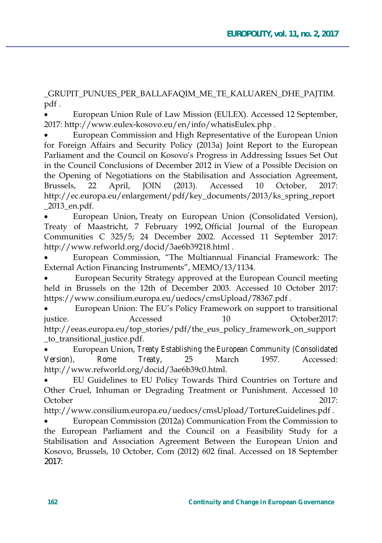\_GRUPIT\_PUNUES\_PER\_BALLAFAQIM\_ME\_TE\_KALUAREN\_DHE\_PAJTIM. pdf.

European Union Rule of Law Mission (EULEX). Accessed 12 September, 2017: http://www.eulex-kosovo.eu/en/info/whatisEulex.php.

European Commission and High Representative of the European Union for Foreign Affairs and Security Policy (2013a) Joint Report to the European Parliament and the Council on Kosovo's Progress in Addressing Issues Set Out in the Council Conclusions of December 2012 in View of a Possible Decision on the Opening of Negotiations on the Stabilisation and Association Agreement, Brussels. 22 April, **JOIN**  $(2013).$ Accessed 10 October.  $2017:$ http://ec.europa.eu/enlargement/pdf/key\_documents/2013/ks\_spring\_report 2013 en.pdf.

European Union, Treaty on European Union (Consolidated Version), Treaty of Maastricht, 7 February 1992, Official Journal of the European Communities C 325/5; 24 December 2002. Accessed 11 September 2017: http://www.refworld.org/docid/3ae6b39218.html.

European Commission, "The Multiannual Financial Framework: The External Action Financing Instruments", MEMO/13/1134.

European Security Strategy approved at the European Council meeting held in Brussels on the 12th of December 2003. Accessed 10 October 2017: https://www.consilium.europa.eu/uedocs/cmsUpload/78367.pdf.

European Union: The EU's Policy Framework on support to transitional justice. Accessed  $10$  $October2017$ http://eeas.europa.eu/top\_stories/pdf/the\_eus\_policy\_framework\_on\_support \_to\_transitional\_justice.pdf.

European Union, Treaty Establishing the European Community (Consolidated 1957. Version), Rome Treaty, 25 March Accessed: http://www.refworld.org/docid/3ae6b39c0.html.

EU Guidelines to EU Policy Towards Third Countries on Torture and Other Cruel, Inhuman or Degrading Treatment or Punishment. Accessed 10 October  $2017:$ 

http://www.consilium.europa.eu/uedocs/cmsUpload/TortureGuidelines.pdf.

European Commission (2012a) Communication From the Commission to the European Parliament and the Council on a Feasibility Study for a Stabilisation and Association Agreement Between the European Union and Kosovo, Brussels, 10 October, Com (2012) 602 final. Accessed on 18 September  $2017:$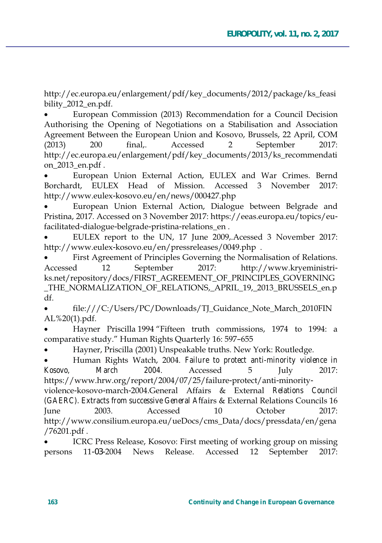http://ec.europa.eu/enlargement/pdf/key\_documents/2012/package/ks\_feasi bility 2012 en.pdf.

European Commission (2013) Recommendation for a Council Decision Authorising the Opening of Negotiations on a Stabilisation and Association Agreement Between the European Union and Kosovo, Brussels, 22 April, COM  $(2013)$  200 final. Accessed 2 September 2017: http://ec.europa.eu/enlargement/pdf/key\_documents/2013/ks\_recommendati on\_2013\_en.pdf.

European Union External Action, EULEX and War Crimes. Bernd Borchardt. EULEX Head of Mission. Accessed 3 November 2017: http://www.eulex-kosovo.eu/en/news/000427.php

European Union External Action, Dialogue between Belgrade and Pristina, 2017. Accessed on 3 November 2017: https://eeas.europa.eu/topics/eufacilitated-dialogue-belgrade-pristina-relations\_en.

EULEX report to the UN, 17 June 2009, Acessed 3 November 2017: http://www.eulex-kosovo.eu/en/pressreleases/0049.php.

First Agreement of Principles Governing the Normalisation of Relations. Accessed 12 September 2017: http://www.kryeministriks.net/repository/docs/FIRST AGREEMENT OF PRINCIPLES GOVERNING THE NORMALIZATION OF RELATIONS, APRIL 19, 2013 BRUSSELS en.p.  $df.$ 

file:///C:/Users/PC/Downloads/TJ Guidance Note March 2010FIN  $AL\%20(1)$ .pdf.

Hayner Priscilla 1994 "Fifteen truth commissions, 1974 to 1994: a comparative study." Human Rights Quarterly 16: 597-655

Hayner, Priscilla (2001) Unspeakable truths. New York: Routledge.

Human Rights Watch, 2004. Failure to protect anti-minority violence in *Kosovo, March 2004*. Accessed 5 July 2017: https://www.hrw.org/report/2004/07/25/failure-protect/anti-minorityviolence-kosovo-march-2004.General Affairs & External Relations Council *(GAERC). Extracts from successive General Affairs & External Relations Councils 16* June 2003. Accessed 10 October 2017: http://www.consilium.europa.eu/ueDocs/cms\_Data/docs/pressdata/en/gena  $/76201.pdf$ .

ICRC Press Release, Kosovo: First meeting of working group on missing persons 11-03-2004 News Release. Accessed 12 September 2017: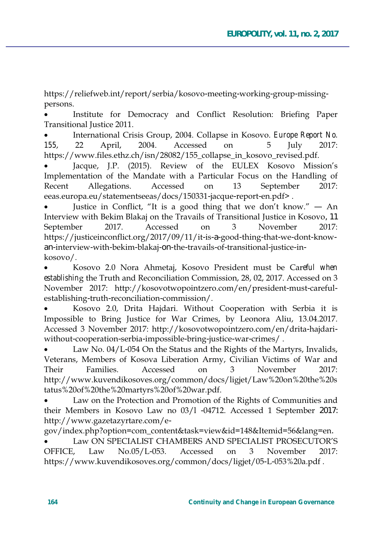https://reliefweb.int/report/serbia/kosovo-meeting-working-group-missingpersons.

Institute for Democracy and Conflict Resolution: Briefing Paper Transitional Justice 2011.

International Crisis Group, 2004. Collapse in Kosovo. *Europe Report No.* 155, 22 April, 2004. Accessed on 5 July 2017: https://www.files.ethz.ch/isn/28082/155 collapse in kosovo revised.pdf.

Jacque, J.P. (2015). Review of the EULEX Kosovo Mission's Implementation of the Mandate with a Particular Focus on the Handling of Recent Allegations. Accessed on 13 September 2017: eeas.europa.eu/statementseeas/docs/150331-jacque-report-en.pdf>.

Justice in Conflict, "It is a good thing that we don't know."  $-$  An Interview with Bekim Blakaj on the Travails of Transitional Justice in Kosovo, 11 September 2017. Accessed on 3 November 2017: https://justiceinconflict.org/2017/09/11/it-is-a-good-thing-that-we-dont-knowan-interview-with-bekim-blakaj-on-the-travails-of-transitional-justice-in $kosov<sub>O</sub>$ .

Kosovo 2.0 Nora Ahmetaj, Kosovo President must be Careful when *establishing* the Truth and Reconciliation Commission, 28, 02, 2017. Accessed on 3 November 2017: http://kosovotwopointzero.com/en/president-must-carefulestablishing-truth-reconciliation-commission/.

Kosovo 2.0, Drita Hajdari. Without Cooperation with Serbia it is Impossible to Bring Justice for War Crimes, by Leonora Aliu, 13.04.2017. Accessed 3 November 2017: http://kosovotwopointzero.com/en/drita-hajdariwithout-cooperation-serbia-impossible-bring-justice-war-crimes/.

Law No. 04/L-054 On the Status and the Rights of the Martyrs, Invalids, Veterans, Members of Kosova Liberation Army, Civilian Victims of War and Their Families. Accessed on 3 November 2017: http://www.kuvendikosoves.org/common/docs/ligjet/Law%20on%20the%20s tatus%20of%20the%20martyrs%20of%20war.pdf.

Law on the Protection and Promotion of the Rights of Communities and their Members in Kosovo Law no 03/1 -04712. Accessed 1 September 2017: http://www.gazetazyrtare.com/e-

gov/index.php?option=com\_content&task=view&id=148&Itemid=56&lang=en.

Law ON SPECIALIST CHAMBERS AND SPECIALIST PROSECUTOR'S OFFICE, Law No.05/L-053. Accessed on 3 November 2017: https://www.kuvendikosoves.org/common/docs/ligjet/05-L-053%20a.pdf.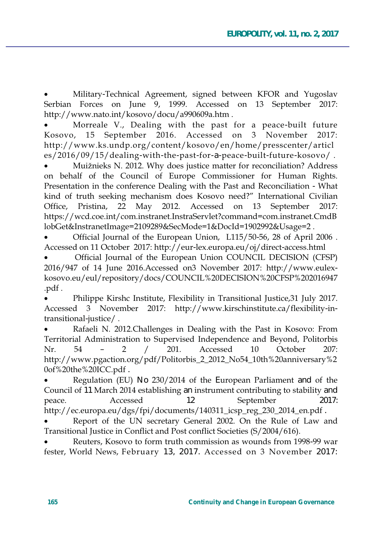Military-Technical Agreement, signed between KFOR and Yugoslav Serbian Forces on June 9, 1999. Accessed on 13 September 2017: http://www.nato.int/kosovo/docu/a990609a.htm.

Morreale V., Dealing with the past for a peace-built future September 2016. Accessed on 3 November  $Kosov<sub>0</sub>$  15  $2017:$ http://www.ks.undp.org/content/kosovo/en/home/presscenter/articl es/2016/09/15/dealing-with-the-past-for-a-peace-built-future-kosovo/.

Muižnieks N. 2012. Why does justice matter for reconciliation? Address on behalf of the Council of Europe Commissioner for Human Rights. Presentation in the conference Dealing with the Past and Reconciliation - What kind of truth seeking mechanism does Kosovo need?" International Civilian 22 May 2012. Office, Pristina, Accessed on 13 September 2017: https://wcd.coe.int/com.instranet.InstraServlet?command=com.instranet.CmdB lobGet&InstranetImage=2109289&SecMode=1&DocId=1902992&Usage=2.

Official Journal of the European Union, L115/50-56, 28 of April 2006. Accessed on 11 October 2017: http://eur-lex.europa.eu/oj/direct-access.html

Official Journal of the European Union COUNCIL DECISION (CFSP) 2016/947 of 14 June 2016. Accessed on 3 November 2017: http://www.eulexkosovo.eu/eul/repository/docs/COUNCIL%20DECISION%20CFSP%202016947 .pdf.

Philippe Kirshc Institute, Flexibility in Transitional Justice, 31 July 2017. Accessed 3 November 2017: http://www.kirschinstitute.ca/flexibility-intransitional-justice/.

Rafaeli N. 2012. Challenges in Dealing with the Past in Kosovo: From Territorial Administration to Supervised Independence and Beyond, Politorbis 54 Accessed October  $Nr_{-}$  $\overline{2}$  $201.$  $10$  $207:$ http://www.pgaction.org/pdf/Politorbis\_2\_2012\_No54\_10th%20anniversary%2 0of%20the%20ICC.pdf.

Regulation (EU) No 230/2014 of the European Parliament and of the Council of 11 March 2014 establishing an instrument contributing to stability and Accessed  $12$ September peace.  $2017:$ http://ec.europa.eu/dgs/fpi/documents/140311\_icsp\_reg\_230\_2014\_en.pdf.

Report of the UN secretary General 2002. On the Rule of Law and Transitional Justice in Conflict and Post conflict Societies (S/2004/616).

Reuters, Kosovo to form truth commission as wounds from 1998-99 war fester, World News, February 13, 2017. Accessed on 3 November 2017: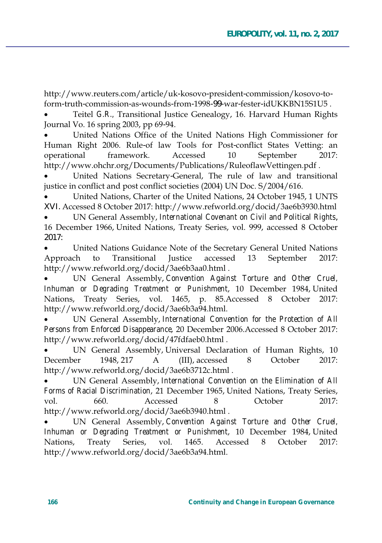http://www.reuters.com/article/uk-kosovo-president-commission/kosovo-toform-truth-commission-as-wounds-from-1998-99-war-fester-idUKKBN15S1U5

Teitel G.R., Transitional Justice Genealogy, 16. Harvard Human Rights Journal Vo. 16 spring 2003, pp 69-94.

United Nations Office of the United Nations High Commissioner for Human Right 2006. Rule-of law Tools for Post-conflict States Vetting: an operational framework. Accessed 10 September  $2017:$ http://www.ohchr.org/Documents/Publications/RuleoflawVettingen.pdf.

United Nations Secretary-General, The rule of law and transitional justice in conflict and post conflict societies (2004) UN Doc. S/2004/616.

United Nations, Charter of the United Nations, 24 October 1945, 1 UNTS XVI. Accessed 8 October 2017: http://www.refworld.org/docid/3ae6b3930.html

UN General Assembly, International Covenant on Civil and Political Rights, 16 December 1966, United Nations, Treaty Series, vol. 999, accessed 8 October  $2017 -$ 

United Nations Guidance Note of the Secretary General United Nations Approach to Transitional **Iustice** accessed 13 September 2017: http://www.refworld.org/docid/3ae6b3aa0.html.

UN General Assembly, Convention Against Torture and Other Cruel, Inhuman or Degrading Treatment or Punishment, 10 December 1984, United Nations, Treaty Series, vol. 1465, p. 85. Accessed 8 October 2017: http://www.refworld.org/docid/3ae6b3a94.html.

UN General Assembly, International Convention for the Protection of All Persons from Enforced Disappearance, 20 December 2006.Accessed 8 October 2017: http://www.refworld.org/docid/47fdfaeb0.html.

UN General Assembly, Universal Declaration of Human Rights, 10 December 1948.217  $\mathsf{A}$ (III), accessed October  $2017:$ 8 http://www.refworld.org/docid/3ae6b3712c.html.

UN General Assembly, International Convention on the Elimination of All Forms of Racial Discrimination, 21 December 1965, United Nations, Treaty Series, vol. 660 Accessed October  $2017:$ http://www.refworld.org/docid/3ae6b3940.html.

UN General Assembly, Convention Against Torture and Other Cruel, Inhuman or Degrading Treatment or Punishment, 10 December 1984, United vol. Accessed Nations, Treaty Series, 1465. 8 October  $2017$ http://www.refworld.org/docid/3ae6b3a94.html.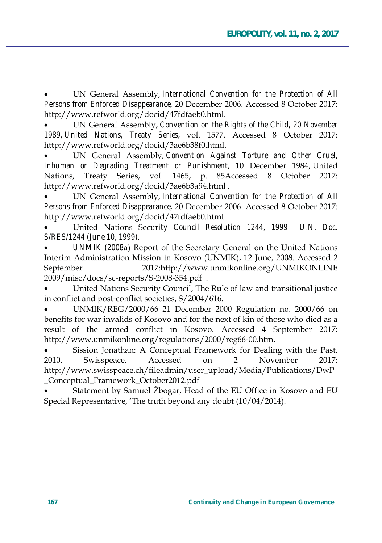UN General Assembly, International Convention for the Protection of All Persons from Enforced Disappearance, 20 December 2006. Accessed 8 October 2017: http://www.refworld.org/docid/47fdfaeb0.html.

UN General Assembly, *Convention on the Rights of the Child, 20 November* 1989, United Nations, Treaty Series, vol. 1577. Accessed 8 October 2017: http://www.refworld.org/docid/3ae6b38f0.html.

UN General Assembly, Convention Against Torture and Other Cruel, *Inhuman or Degrading Treatment or Punishment*, 10 December 1984, United Nations, Treaty Series, vol. 1465, p. 85Accessed 8 October 2017: http://www.refworld.org/docid/3ae6b3a94.html.

UN General Assembly, International Convention for the Protection of All Persons from Enforced Disappearance, 20 December 2006. Accessed 8 October 2017: http://www.refworld.org/docid/47fdfaeb0.html.

United Nations Security Council Resolution 1244, 1999 U.N. Doc. *S/RES/1244 (June 10, 1999).* 

*UNMIK (2008a*) Report of the Secretary General on the United Nations Interim Administration Mission in Kosovo (UNMIK), 12 June, 2008. Accessed 2 September 2017:http://www.unmikonline.org/UNMIKONLINE 2009/misc/docs/sc-reports/S-2008-354.pdf.

United Nations Security Council, The Rule of law and transitional justice in conflict and post-conflict societies, S/2004/616.

UNMIK/REG/2000/66 21 December 2000 Regulation no. 2000/66 on benefits for war invalids of Kosovo and for the next of kin of those who died as a result of the armed conflict in Kosovo. Accessed 4 September 2017: http://www.unmikonline.org/regulations/2000/reg66-00.htm.

Sission Jonathan: A Conceptual Framework for Dealing with the Past. 2010. Swisspeace. Accessed on 2 November 2017: http://www.swisspeace.ch/fileadmin/user\_upload/Media/Publications/DwP Conceptual Framework October2012.pdf

Statement by Samuel Žbogar, Head of the EU Office in Kosovo and EU Special Representative, 'The truth beyond any doubt (10/04/2014).